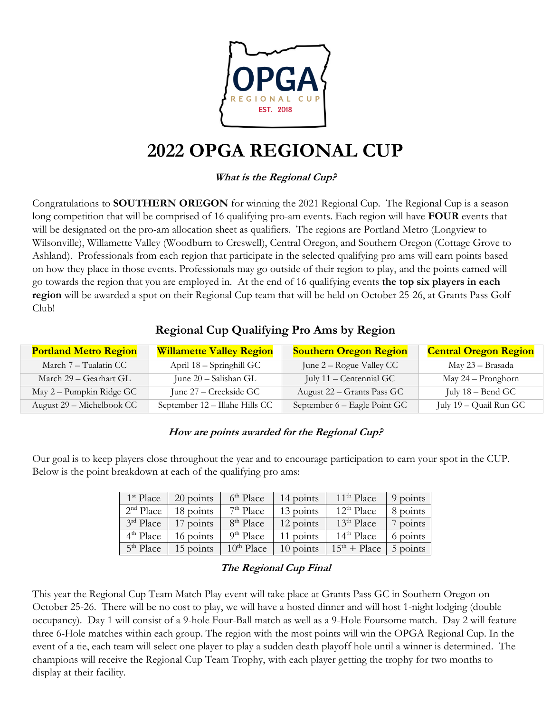

## **2022 OPGA REGIONAL CUP**

**What is the Regional Cup?**

Congratulations to **SOUTHERN OREGON** for winning the 2021 Regional Cup. The Regional Cup is a season long competition that will be comprised of 16 qualifying pro-am events. Each region will have **FOUR** events that will be designated on the pro-am allocation sheet as qualifiers. The regions are Portland Metro (Longview to Wilsonville), Willamette Valley (Woodburn to Creswell), Central Oregon, and Southern Oregon (Cottage Grove to Ashland). Professionals from each region that participate in the selected qualifying pro ams will earn points based on how they place in those events. Professionals may go outside of their region to play, and the points earned will go towards the region that you are employed in. At the end of 16 qualifying events **the top six players in each region** will be awarded a spot on their Regional Cup team that will be held on October 25-26, at Grants Pass Golf Club!

### **Regional Cup Qualifying Pro Ams by Region**

| <b>Portland Metro Region</b> | <b>Willamette Valley Region</b> | <b>Southern Oregon Region</b> | <b>Central Oregon Region</b> |
|------------------------------|---------------------------------|-------------------------------|------------------------------|
| March 7 – Tualatin CC        | April 18 – Springhill GC        | June 2 – Rogue Valley CC      | May 23 – Brasada             |
| March 29 – Gearhart GL       | June 20 - Salishan GL           | July 11 – Centennial GC       | May 24 - Pronghorn           |
| May 2 – Pumpkin Ridge GC     | June 27 – Creekside GC          | August 22 – Grants Pass GC    | July 18 – Bend GC            |
| August 29 – Michelbook CC    | September 12 - Illahe Hills CC  | September 6 – Eagle Point GC  | July 19 – Quail Run GC       |

#### **How are points awarded for the Regional Cup?**

Our goal is to keep players close throughout the year and to encourage participation to earn your spot in the CUP. Below is the point breakdown at each of the qualifying pro ams:

| $1st$ Place           | $20$ points | 6 <sup>th</sup> Place | 14 points   | $11th$ Place                    | 9 points   |
|-----------------------|-------------|-----------------------|-------------|---------------------------------|------------|
| 2 <sup>nd</sup> Place | 18 points   | $7th$ Place           | 13 points   | $12th$ Place                    | 8 points   |
| 3rd Place             | 17 points   | 8 <sup>th</sup> Place | 12 points   | 13 <sup>th</sup> Place          | $7$ points |
| 4 <sup>th</sup> Place | 16 points   | $9th$ Place           | 11 points   | $14th$ Place                    | 6 points   |
| 5 <sup>th</sup> Place | 15 points   | $10th$ Place          | $10$ points | $15^{\text{th}} + \text{Place}$ | 5 points   |

#### **The Regional Cup Final**

This year the Regional Cup Team Match Play event will take place at Grants Pass GC in Southern Oregon on October 25-26. There will be no cost to play, we will have a hosted dinner and will host 1-night lodging (double occupancy). Day 1 will consist of a 9-hole Four-Ball match as well as a 9-Hole Foursome match. Day 2 will feature three 6-Hole matches within each group. The region with the most points will win the OPGA Regional Cup. In the event of a tie, each team will select one player to play a sudden death playoff hole until a winner is determined. The champions will receive the Regional Cup Team Trophy, with each player getting the trophy for two months to display at their facility.